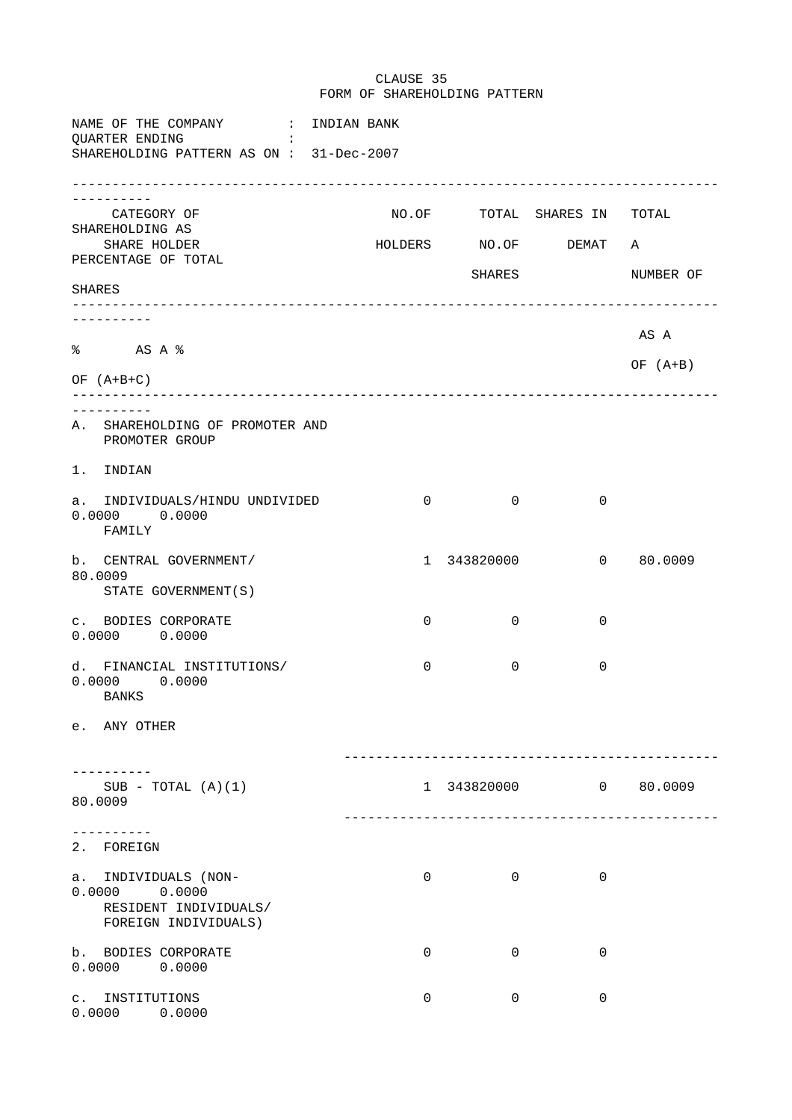FORM OF SHAREHOLDING PATTERN NAME OF THE COMPANY : INDIAN BANK QUARTER ENDING : SHAREHOLDING PATTERN AS ON : 31-Dec-2007 --------------------------------------------------------------------------------- ----------<br>CATEGORY OF NO.OF TOTAL SHARES IN TOTAL SHAREHOLDING AS<br>SHARE HOLDER HOLDERS NO.OF DEMAT A PERCENTAGE OF TOTAL SHARES NUMBER OF SHARES --------------------------------------------------------------------------------- ---------- AS A % AS A % OF (A+B) OF (A+B+C) --------------------------------------------------------------------------------- ---------- A. SHAREHOLDING OF PROMOTER AND PROMOTER GROUP 1. INDIAN a. INDIVIDUALS/HINDU UNDIVIDED 0 0 0 0 0 0.0000 0.0000 FAMILY b. CENTRAL GOVERNMENT/ 1 343820000 0 80.0009 80.0009 STATE GOVERNMENT(S) c. BODIES CORPORATE  $0$  0 0 0 0 0.0000 0.0000 d. FINANCIAL INSTITUTIONS/ 0 0 0 0.0000 0.0000 BANKS e. ANY OTHER ----------------------------------------------- ---------- SUB - TOTAL (A)(1) 1 343820000 0 80.0009 80.0009 ----------------------------------------------- ---------- 2. FOREIGN a. INDIVIDUALS (NON- 0 0 0 0 0.0000 0.0000 RESIDENT INDIVIDUALS/ FOREIGN INDIVIDUALS) b. BODIES CORPORATE  $\begin{array}{cccc} 0 & 0 & 0 \end{array}$ 0.0000 0.0000 c. INSTITUTIONS 0 0 0 0.0000 0.0000

CLAUSE 35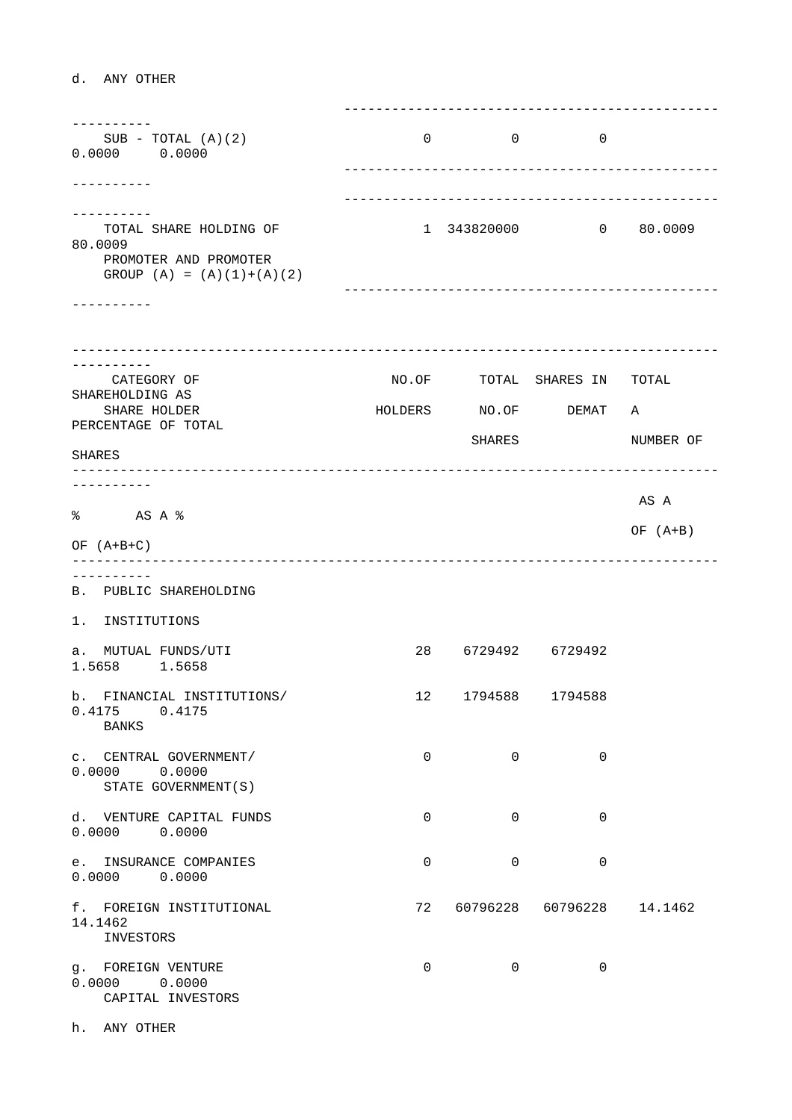d. ANY OTHER

 ----------------------------------------------- ----------  $SUB - TOTAL (A)(2)$  0 0 0 0.0000 0.0000 ----------------------------------------------- ---------- ----------------------------------------------- ----------<br>TOTAL SHARE HOLDING OF 1 343820000 0 80.0009 80.0009 PROMOTER AND PROMOTER GROUP  $(A) = (A)(1)+(A)(2)$  ----------------------------------------------- ---------- --------------------------------------------------------------------------------- ---------- CATEGORY OF **NO.OF** TOTAL SHARES IN TOTAL SHAREHOLDING AS SHARE HOLDER **HOLDERS** NO.OF DEMAT A PERCENTAGE OF TOTAL SHARES NUMBER OF SHARES --------------------------------------------------------------------------------- ---------- AS A % AS A % OF (A+B) OF (A+B+C) --------------------------------------------------------------------------------- ---------- B. PUBLIC SHAREHOLDING 1. INSTITUTIONS a. MUTUAL FUNDS/UTI 28 6729492 6729492 1.5658 1.5658 b. FINANCIAL INSTITUTIONS/ 12 1794588 1794588 0.4175 0.4175 BANKS c. CENTRAL GOVERNMENT/ 0 0 0 0 0 0.0000 0.0000 STATE GOVERNMENT(S) d. VENTURE CAPITAL FUNDS 0 0 0 0.0000 0.0000 e. INSURANCE COMPANIES 0 0 0 0.0000 0.0000 f. FOREIGN INSTITUTIONAL 72 60796228 60796228 14.1462 14.1462 INVESTORS g. FOREIGN VENTURE  $\begin{array}{ccccccc} 0 & 0 & 0 & 0 \end{array}$ 0.0000 0.0000 CAPITAL INVESTORS

h. ANY OTHER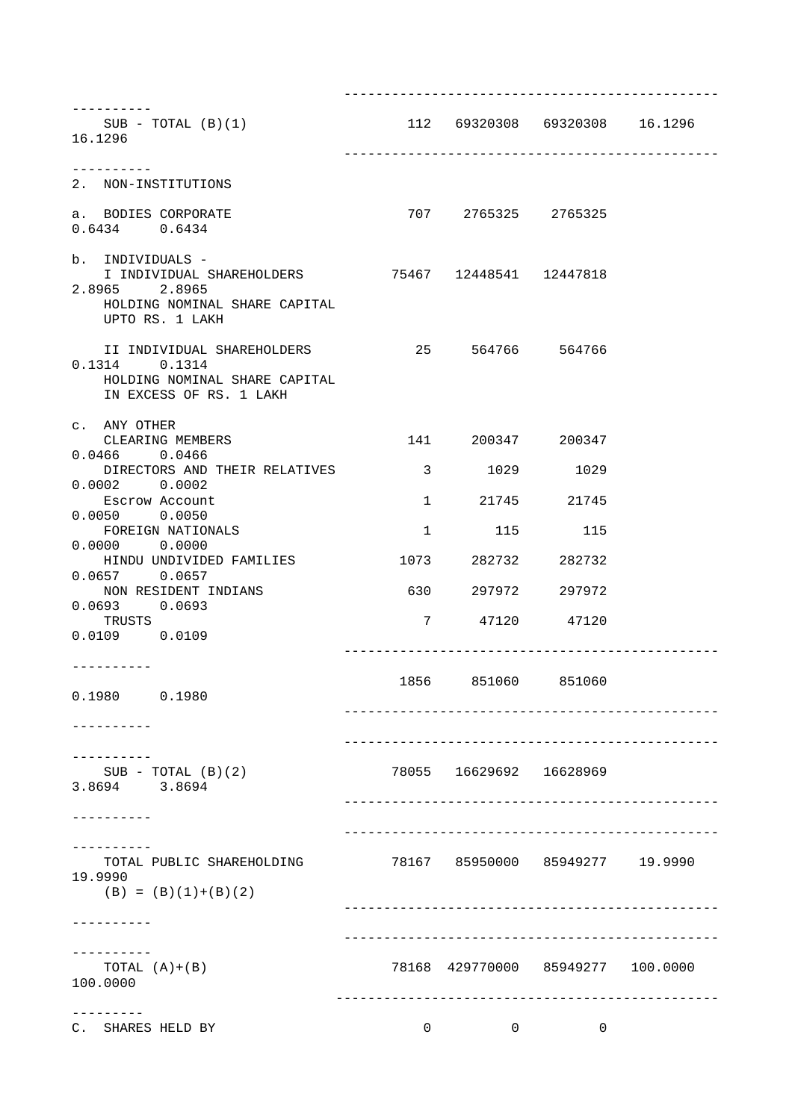| ----------<br>$SUB - TOTAL (B)(1)$<br>16.1296                                                                                  | 112 69320308 69320308 16.1296   |                         |                                   |  |
|--------------------------------------------------------------------------------------------------------------------------------|---------------------------------|-------------------------|-----------------------------------|--|
| 2. NON-INSTITUTIONS                                                                                                            |                                 |                         |                                   |  |
| a. BODIES CORPORATE<br>$0.6434$ $0.6434$                                                                                       |                                 | 707 2765325 2765325     |                                   |  |
| b. INDIVIDUALS -<br>2.8965 2.8965<br>HOLDING NOMINAL SHARE CAPITAL                                                             |                                 |                         |                                   |  |
| UPTO RS. 1 LAKH<br>II INDIVIDUAL SHAREHOLDERS<br>$0.1314$ $0.1314$<br>HOLDING NOMINAL SHARE CAPITAL<br>IN EXCESS OF RS. 1 LAKH | 25 564766 564766                |                         |                                   |  |
| c. ANY OTHER<br>CLEARING MEMBERS                                                                                               |                                 | 141 200347 200347       |                                   |  |
| $0.0466$ $0.0466$<br>DIRECTORS AND THEIR RELATIVES                                                                             |                                 | 3 1029 1029             |                                   |  |
| $0.0002$ $0.0002$                                                                                                              |                                 | 1 21745 21745           |                                   |  |
| Escrow Account<br>$0.0050$ $0.0050$                                                                                            |                                 |                         |                                   |  |
| FOREIGN NATIONALS<br>$0.0000$ $0.0000$                                                                                         |                                 | 1 115 115               |                                   |  |
| HINDU UNDIVIDED FAMILIES<br>$0.0657$ 0.0657                                                                                    |                                 | 1073 282732 282732      |                                   |  |
| NON RESIDENT INDIANS                                                                                                           |                                 | 630 297972 297972       |                                   |  |
| $0.0693$ $0.0693$<br>TRUSTS<br>$0.0109$ $0.0109$                                                                               |                                 | 7 47120 47120           |                                   |  |
| ----------<br>$0.1980$ $0.1980$                                                                                                |                                 | 1856 851060 851060      |                                   |  |
|                                                                                                                                |                                 |                         |                                   |  |
| $SUB - TOTAL (B)(2)$<br>3.8694 3.8694                                                                                          |                                 | 78055 16629692 16628969 |                                   |  |
|                                                                                                                                |                                 |                         |                                   |  |
| TOTAL PUBLIC SHAREHOLDING<br>19.9990<br>$(B) = (B) (1)+(B) (2)$                                                                | 78167 85950000 85949277 19.9990 |                         |                                   |  |
|                                                                                                                                |                                 |                         |                                   |  |
| TOTAL $(A)+(B)$<br>100.0000                                                                                                    |                                 |                         | 78168 429770000 85949277 100.0000 |  |
| C. SHARES HELD BY                                                                                                              | $\overline{0}$                  | $\mathbf{0}$            | $\overline{0}$                    |  |

-----------------------------------------------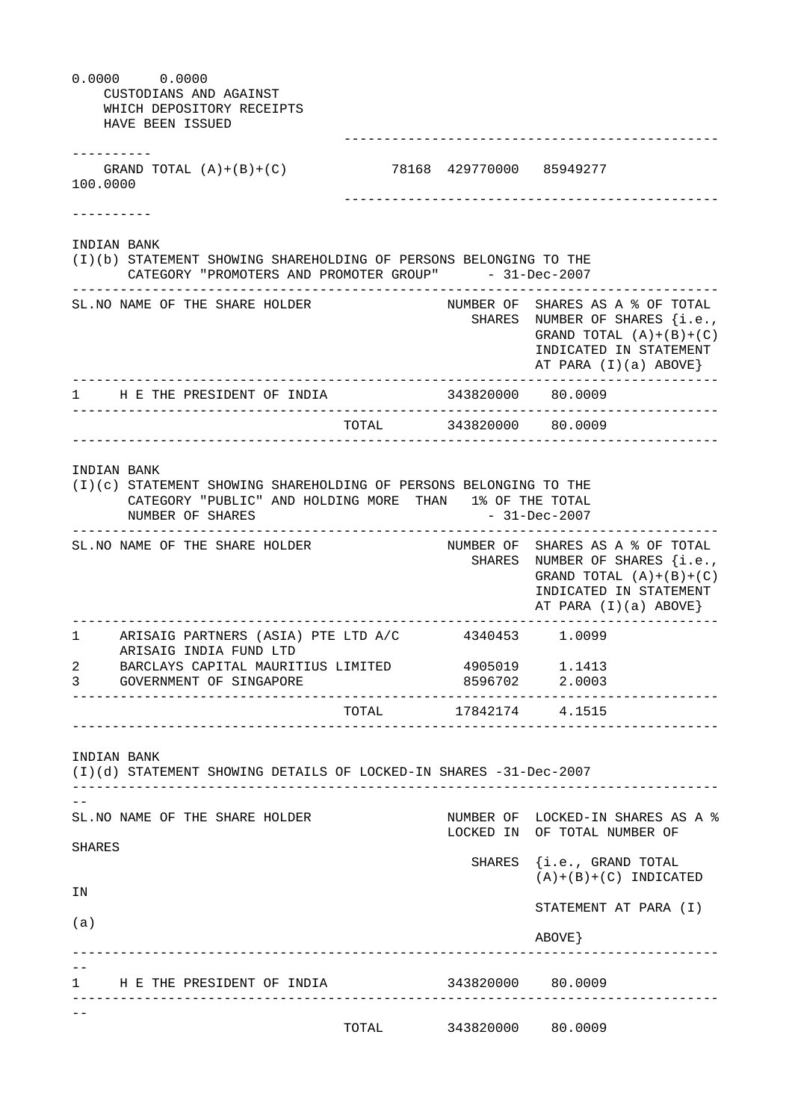|                | $0.0000$ $0.0000$<br>CUSTODIANS AND AGAINST<br>WHICH DEPOSITORY RECEIPTS<br>HAVE BEEN ISSUED                                                                                                       |                          |                   |                                                                                                                                                      |
|----------------|----------------------------------------------------------------------------------------------------------------------------------------------------------------------------------------------------|--------------------------|-------------------|------------------------------------------------------------------------------------------------------------------------------------------------------|
| 100.0000       | GRAND TOTAL $(A)+(B)+(C)$                                                                                                                                                                          | 78168 429770000 85949277 |                   |                                                                                                                                                      |
|                |                                                                                                                                                                                                    |                          |                   |                                                                                                                                                      |
|                | INDIAN BANK<br>(I)(b) STATEMENT SHOWING SHAREHOLDING OF PERSONS BELONGING TO THE<br>CATEGORY "PROMOTERS AND PROMOTER GROUP" - 31-Dec-2007                                                          |                          |                   |                                                                                                                                                      |
|                | SL.NO NAME OF THE SHARE HOLDER                                                                                                                                                                     |                          |                   | NUMBER OF SHARES AS A % OF TOTAL<br>SHARES NUMBER OF SHARES {i.e.,<br>GRAND TOTAL $(A)+(B)+(C)$<br>INDICATED IN STATEMENT<br>AT PARA $(I)(a)$ ABOVE} |
|                | 1 H E THE PRESIDENT OF INDIA                                                                                                                                                                       |                          | 343820000 80.0009 |                                                                                                                                                      |
|                |                                                                                                                                                                                                    | TOTAL 343820000 80.0009  |                   |                                                                                                                                                      |
|                | INDIAN BANK<br>(I)(c) STATEMENT SHOWING SHAREHOLDING OF PERSONS BELONGING TO THE<br>CATEGORY "PUBLIC" AND HOLDING MORE THAN 1% OF THE TOTAL<br>NUMBER OF SHARES<br>SL. NO NAME OF THE SHARE HOLDER |                          |                   | $-31 - Dec - 2007$<br>NUMBER OF SHARES AS A % OF TOTAL<br>SHARES NUMBER OF SHARES {i.e.,                                                             |
|                |                                                                                                                                                                                                    |                          |                   | GRAND TOTAL $(A)+(B)+(C)$<br>INDICATED IN STATEMENT<br>AT PARA $(I)(a)$ ABOVE}                                                                       |
| 1              | ARISAIG PARTNERS (ASIA) PTE LTD A/C 4340453 1.0099<br>ARISAIG INDIA FUND LTD                                                                                                                       |                          |                   |                                                                                                                                                      |
| $2 \quad$<br>3 | BARCLAYS CAPITAL MAURITIUS LIMITED 4905019 1.1413<br>GOVERNMENT OF SINGAPORE                                                                                                                       |                          |                   | 8596702 2.0003<br>_________                                                                                                                          |
|                |                                                                                                                                                                                                    | TOTAL                    |                   | 17842174 4.1515                                                                                                                                      |
|                | INDIAN BANK<br>(I)(d) STATEMENT SHOWING DETAILS OF LOCKED-IN SHARES -31-Dec-2007                                                                                                                   |                          |                   |                                                                                                                                                      |
|                | SL. NO NAME OF THE SHARE HOLDER                                                                                                                                                                    |                          |                   | NUMBER OF LOCKED-IN SHARES AS A %<br>LOCKED IN OF TOTAL NUMBER OF                                                                                    |
| SHARES         |                                                                                                                                                                                                    |                          |                   | SHARES {i.e., GRAND TOTAL<br>$(A)+(B)+(C)$ INDICATED                                                                                                 |
| ΙN             |                                                                                                                                                                                                    |                          |                   | STATEMENT AT PARA (I)                                                                                                                                |
| (a)            |                                                                                                                                                                                                    |                          |                   | ABOVE                                                                                                                                                |
|                |                                                                                                                                                                                                    |                          |                   |                                                                                                                                                      |
|                | 1 H E THE PRESIDENT OF INDIA 6993820000 80.0009                                                                                                                                                    |                          |                   |                                                                                                                                                      |
|                |                                                                                                                                                                                                    | TOTAL 343820000 80.0009  |                   |                                                                                                                                                      |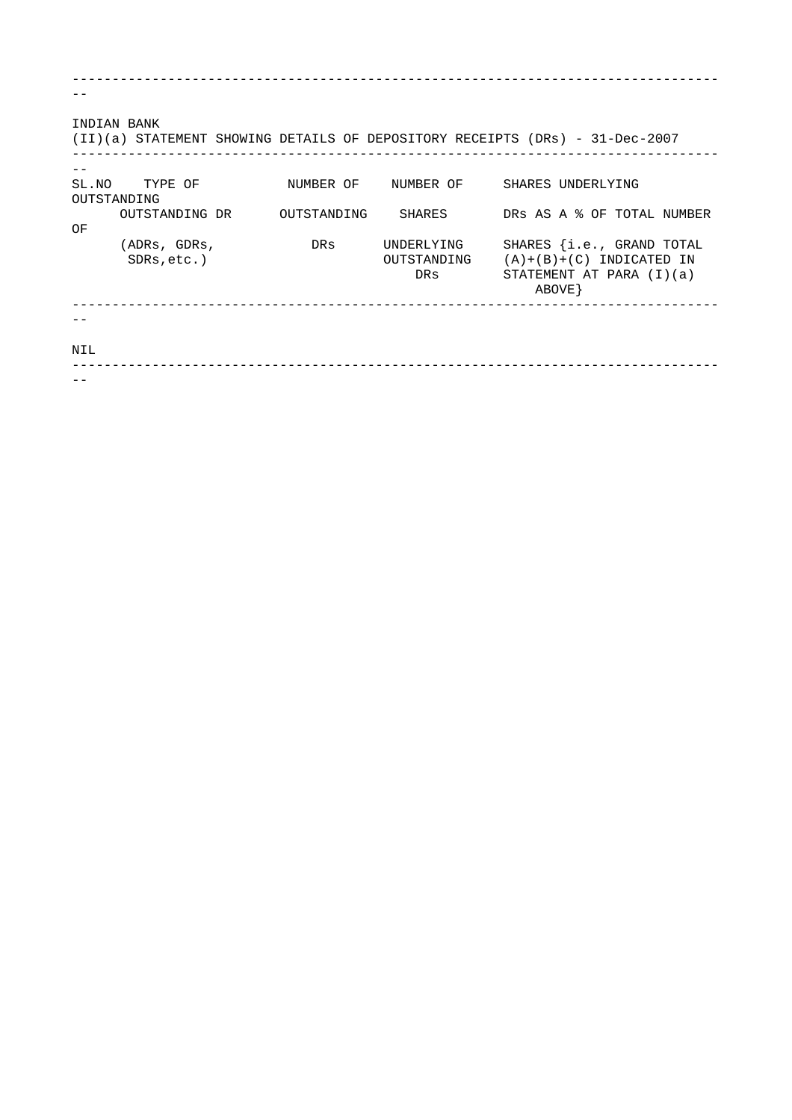| INDIAN BANK | (II)(a) STATEMENT SHOWING DETAILS OF DEPOSITORY RECEIPTS (DRs) - 31-Dec-2007 |             |     |                           |            |                   |                                                                                       |  |
|-------------|------------------------------------------------------------------------------|-------------|-----|---------------------------|------------|-------------------|---------------------------------------------------------------------------------------|--|
| OUTSTANDING | SL.NO TYPE OF                                                                |             |     | NUMBER OF NUMBER OF       |            | SHARES UNDERLYING |                                                                                       |  |
| OF          | OUTSTANDING DR                                                               | OUTSTANDING |     | SHARES                    |            |                   | DRS AS A & OF TOTAL NUMBER                                                            |  |
|             | (ADRs, GDRs,<br>$SDRs, etc.$ )                                               |             | DRs | UNDERLYING<br>OUTSTANDING | <b>DRS</b> | ABOVE }           | SHARES {i.e., GRAND TOTAL<br>$(A)+(B)+(C)$ INDICATED IN<br>STATEMENT AT PARA $(I)(a)$ |  |
|             |                                                                              |             |     |                           |            |                   |                                                                                       |  |
| NIL         |                                                                              |             |     |                           |            |                   |                                                                                       |  |
|             |                                                                              |             |     |                           |            |                   |                                                                                       |  |

---------------------------------------------------------------------------------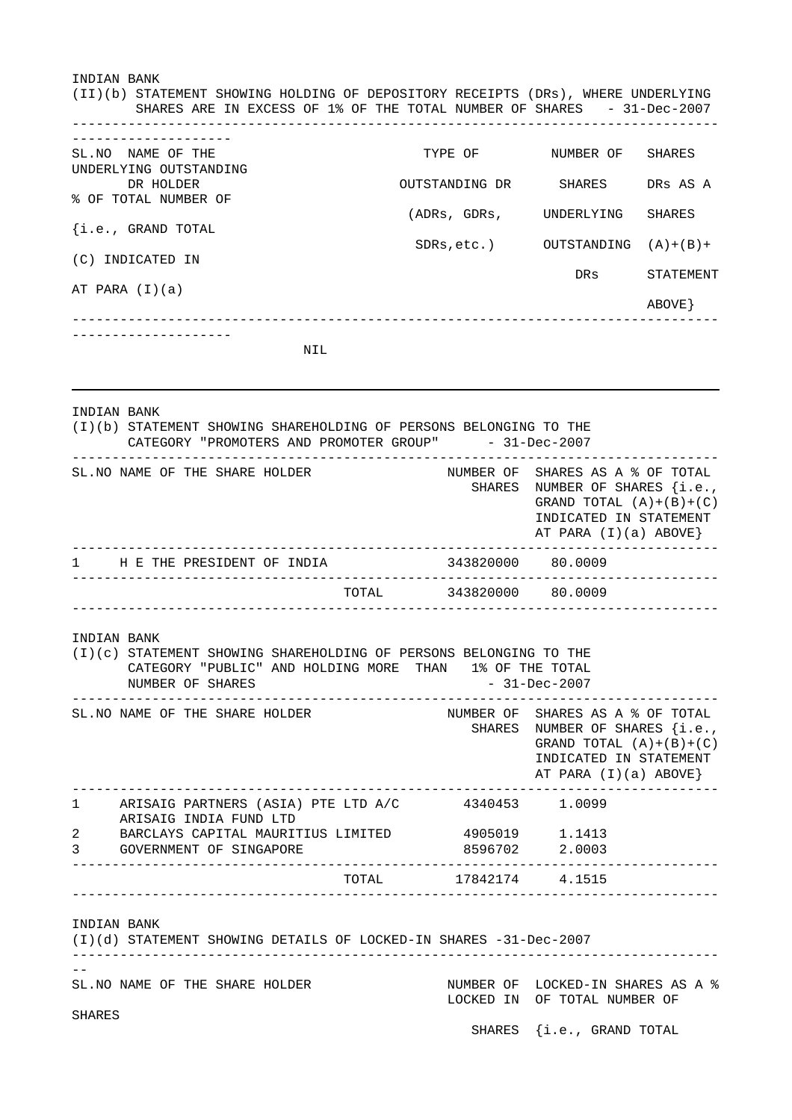INDIAN BANK (II)(b) STATEMENT SHOWING HOLDING OF DEPOSITORY RECEIPTS (DRs), WHERE UNDERLYING SHARES ARE IN EXCESS OF 1% OF THE TOTAL NUMBER OF SHARES - 31-Dec-2007 --------------------------------------------------------------------------------- -------------------<br>SL.NO NAME OF THE TYPE OF NUMBER OF SHARES UNDERLYING OUTSTANDING OUTSTANDING DR SHARES DRS AS A % OF TOTAL NUMBER OF (ADRs, GDRs, UNDERLYING SHARES

{i.e., GRAND TOTAL SDRs,etc.) OUTSTANDING (A)+(B)+ (C) INDICATED IN DRs STATEMENT AT PARA (I)(a) ABOVE} --------------------------------------------------------------------------------- --------------------

NIL

|              | INDIAN BANK<br>(I)(b) STATEMENT SHOWING SHAREHOLDING OF PERSONS BELONGING TO THE<br>CATEGORY "PROMOTERS AND PROMOTER GROUP" - 31-Dec-2007<br>____________________ |       |                         |                                                                                                                                                      |
|--------------|-------------------------------------------------------------------------------------------------------------------------------------------------------------------|-------|-------------------------|------------------------------------------------------------------------------------------------------------------------------------------------------|
|              | SL. NO NAME OF THE SHARE HOLDER                                                                                                                                   |       |                         | NUMBER OF SHARES AS A % OF TOTAL<br>SHARES NUMBER OF SHARES {i.e.,<br>GRAND TOTAL $(A)+(B)+(C)$<br>INDICATED IN STATEMENT<br>AT PARA $(I)(a)$ ABOVE} |
| 1            | H E THE PRESIDENT OF INDIA                                                                                                                                        |       | 343820000 80.0009       |                                                                                                                                                      |
|              |                                                                                                                                                                   |       | TOTAL 343820000 80.0009 |                                                                                                                                                      |
|              | INDIAN BANK<br>(I)(c) STATEMENT SHOWING SHAREHOLDING OF PERSONS BELONGING TO THE<br>CATEGORY "PUBLIC" AND HOLDING MORE THAN 1% OF THE TOTAL<br>NUMBER OF SHARES   |       | - 31-Dec-2007           |                                                                                                                                                      |
|              | SL. NO NAME OF THE SHARE HOLDER                                                                                                                                   |       |                         | NUMBER OF SHARES AS A % OF TOTAL<br>SHARES NUMBER OF SHARES {i.e.,<br>GRAND TOTAL $(A)+(B)+(C)$<br>INDICATED IN STATEMENT<br>AT PARA $(I)(a)$ ABOVE} |
| $\mathbf{1}$ | ARISAIG PARTNERS (ASIA) PTE LTD A/C                                                                                                                               |       | 4340453 1.0099          |                                                                                                                                                      |
|              | ARISAIG INDIA FUND LTD                                                                                                                                            |       |                         |                                                                                                                                                      |
| 2            | BARCLAYS CAPITAL MAURITIUS LIMITED                                                                                                                                |       | 4905019 1.1413          |                                                                                                                                                      |
| 3            | GOVERNMENT OF SINGAPORE                                                                                                                                           |       |                         | 8596702 2.0003                                                                                                                                       |
|              |                                                                                                                                                                   | TOTAL | 17842174 4.1515         |                                                                                                                                                      |
|              | INDIAN BANK<br>(I)(d) STATEMENT SHOWING DETAILS OF LOCKED-IN SHARES -31-Dec-2007                                                                                  |       |                         |                                                                                                                                                      |
| SHARES       | SL. NO NAME OF THE SHARE HOLDER                                                                                                                                   |       |                         | NUMBER OF LOCKED-IN SHARES AS A %<br>LOCKED IN OF TOTAL NUMBER OF                                                                                    |
|              |                                                                                                                                                                   |       | <b>SHARES</b>           | {i.e., GRAND TOTAL                                                                                                                                   |